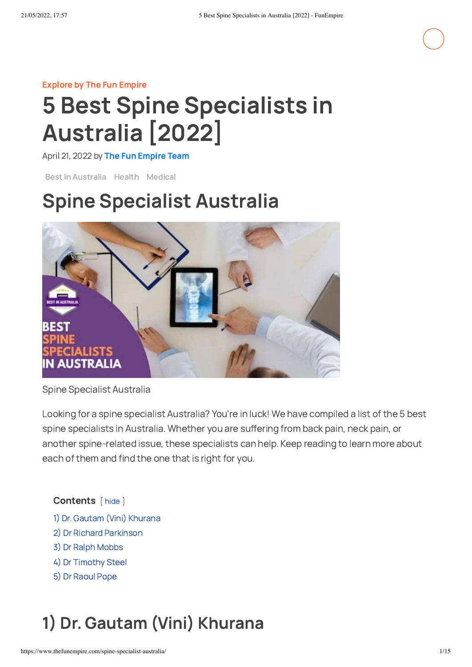#### [Explore](https://www.thefunempire.com/explore/) by The Fun Empire

# 5 Best Spine Specialists in Australia [2022]

April 21, 2022 by The Fun [Empire](https://www.thefunempire.com/) Team

Best In [Australia](https://www.thefunempire.com/category/best-in-australia/) [Health](https://www.thefunempire.com/category/health/) [Medical](https://www.thefunempire.com/category/medical/)

## Spine Specialist Australia



Spine Specialist Australia

Looking for a spine specialist Australia? You're in luck! We have compiled a list of the 5 best spine specialists in Australia. Whether you are suffering from back pain, neck pain, or another spine-related issue, these specialists can help. Keep reading to learn more about each of them and find the one that is right for you.

#### Contents [ hide ]

- 1) Dr. Gautam (Vini) [Khurana](#page-0-0)
- 2) Dr Richard [Parkinson](#page-2-0)
- 3) Dr Ralph [Mobbs](#page-4-0)
- 4) Dr [Timothy](#page-6-0) Steel
- 5) Dr [Raoul](#page-8-0) Pope

## <span id="page-0-0"></span>1) Dr. Gautam (Vini) Khurana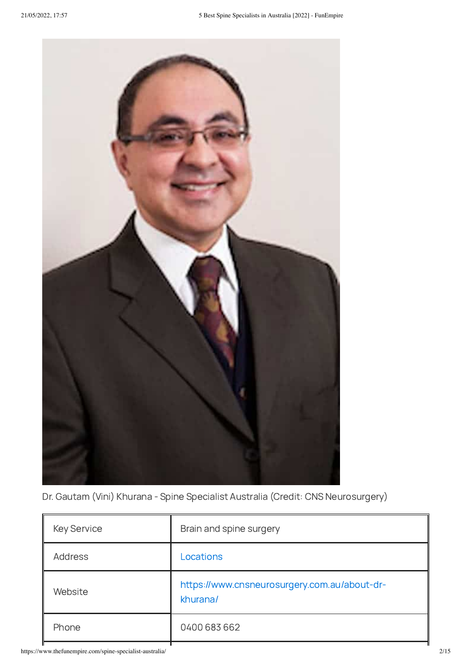

Dr. Gautam (Vini) Khurana - Spine Specialist Australia (Credit: CNS Neurosurgery)

| <b>Key Service</b> | Brain and spine surgery                                  |
|--------------------|----------------------------------------------------------|
| <b>Address</b>     | Locations                                                |
| Website            | https://www.cnsneurosurgery.com.au/about-dr-<br>khurana/ |
| Phone              | 0400 683 662                                             |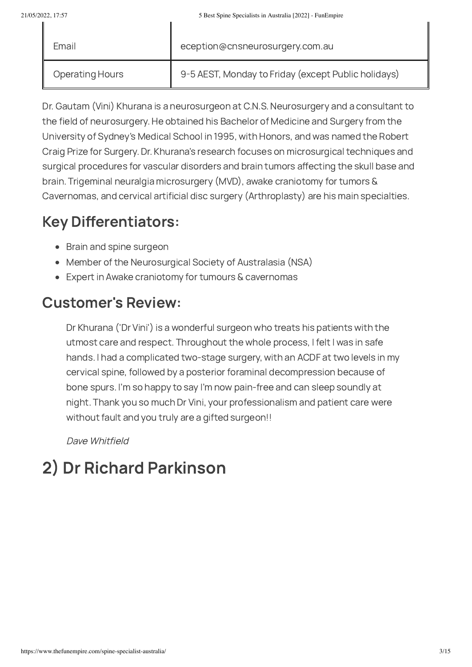| Email                  | eception@cnsneurosurgery.com.au                     |
|------------------------|-----------------------------------------------------|
| <b>Operating Hours</b> | 9-5 AEST, Monday to Friday (except Public holidays) |

Dr. Gautam (Vini) Khurana is a neurosurgeon at C.N.S. Neurosurgery and a consultant to the field of neurosurgery. He obtained his Bachelor of Medicine and Surgery from the University of Sydney's Medical School in 1995, with Honors, and was named the Robert Craig Prize for Surgery. Dr. Khurana's research focuses on microsurgical techniques and surgical procedures for vascular disorders and brain tumors affecting the skull base and brain. Trigeminal neuralgia microsurgery (MVD), awake craniotomy for tumors & Cavernomas, and cervical artificial disc surgery (Arthroplasty) are his main specialties.

## Key Differentiators:

- Brain and spine surgeon
- Member of the Neurosurgical Society of Australasia (NSA)
- Expert in Awake craniotomy for tumours & cavernomas

## Customer's Review:

Dr Khurana ('Dr Vini') is a wonderful surgeon who treats his patients with the utmost care and respect. Throughout the whole process, I felt I was in safe hands. I had a complicated two-stage surgery, with an ACDF at two levels in my cervical spine, followed by a posterior foraminal decompression because of bone spurs. I'm so happy to say I'm now pain-free and can sleep soundly at night. Thank you so much Dr Vini, your professionalism and patient care were without fault and you truly are a gifted surgeon!!

Dave Whitfield

## <span id="page-2-0"></span>2) Dr Richard Parkinson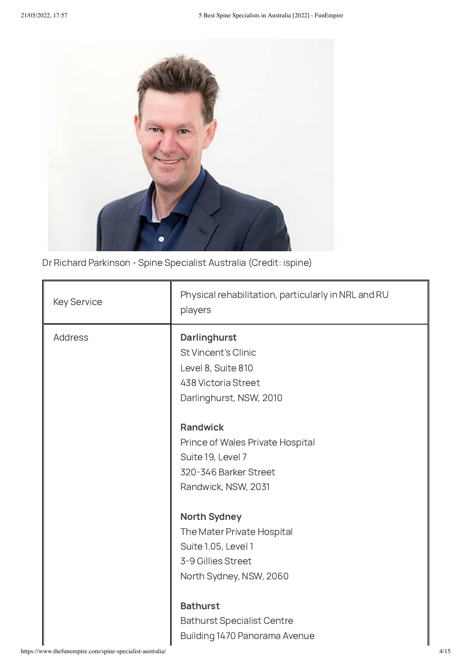

Dr Richard Parkinson - Spine Specialist Australia (Credit: ispine)

| <b>Key Service</b> | Physical rehabilitation, particularly in NRL and RU<br>players |
|--------------------|----------------------------------------------------------------|
| <b>Address</b>     | Darlinghurst<br><b>St Vincent's Clinic</b>                     |
|                    | Level 8, Suite 810                                             |
|                    | 438 Victoria Street                                            |
|                    | Darlinghurst, NSW, 2010                                        |
|                    | <b>Randwick</b>                                                |
|                    | Prince of Wales Private Hospital                               |
|                    | Suite 19, Level 7                                              |
|                    | 320-346 Barker Street                                          |
|                    | Randwick, NSW, 2031                                            |
|                    | <b>North Sydney</b>                                            |
|                    | The Mater Private Hospital                                     |
|                    | Suite 1.05, Level 1                                            |
|                    | 3-9 Gillies Street                                             |
|                    | North Sydney, NSW, 2060                                        |
|                    | <b>Bathurst</b>                                                |
|                    | <b>Bathurst Specialist Centre</b>                              |
|                    | Building 1470 Panorama Avenue                                  |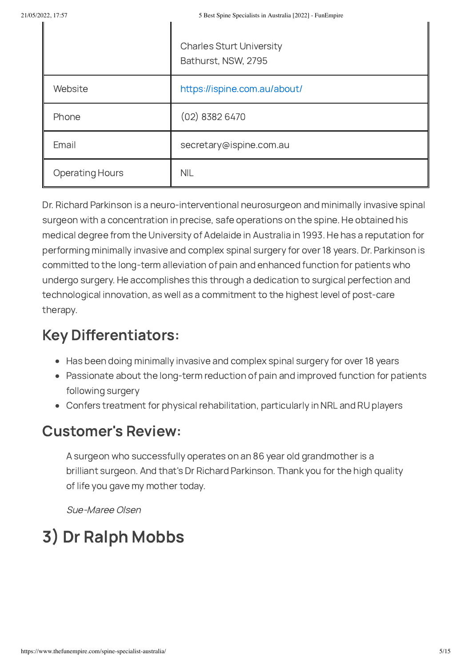|                        | <b>Charles Sturt University</b><br>Bathurst, NSW, 2795 |
|------------------------|--------------------------------------------------------|
| Website                | https://ispine.com.au/about/                           |
| Phone                  | $(02)$ 8382 6470                                       |
| Email                  | secretary@ispine.com.au                                |
| <b>Operating Hours</b> | <b>NIL</b>                                             |

Dr. Richard Parkinson is a neuro-interventional neurosurgeon and minimally invasive spinal surgeon with a concentration in precise, safe operations on the spine. He obtained his medical degree from the University of Adelaide in Australia in 1993. He has a reputation for performing minimally invasive and complex spinal surgery for over 18 years. Dr. Parkinson is committed to the long-term alleviation of pain and enhanced function for patients who undergo surgery. He accomplishes this through a dedication to surgical perfection and technological innovation, as well as a commitment to the highest level of post-care therapy.

## Key Differentiators:

- Has been doing minimally invasive and complex spinal surgery for over 18 years
- Passionate about the long-term reduction of pain and improved function for patients following surgery
- Confers treatment for physical rehabilitation, particularly in NRL and RU players

### Customer's Review:

A surgeon who successfully operates on an 86 year old grandmother is a brilliant surgeon. And that's Dr Richard Parkinson. Thank you for the high quality of life you gave my mother today.

Sue-Maree Olsen

## <span id="page-4-0"></span>3) Dr Ralph Mobbs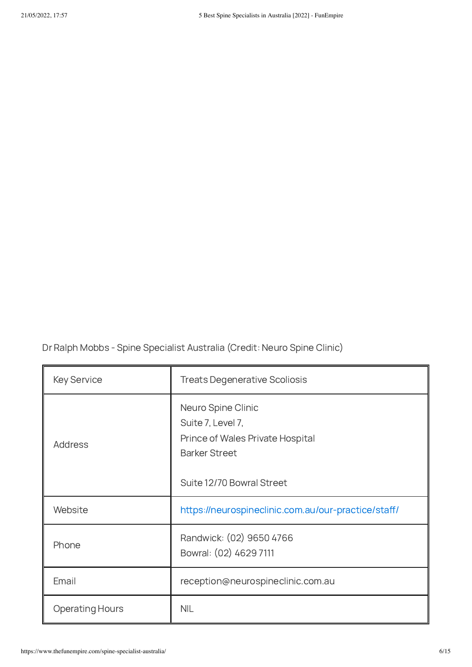Dr Ralph Mobbs - Spine Specialist Australia (Credit: Neuro Spine Clinic)

| <b>Key Service</b>     | <b>Treats Degenerative Scoliosis</b>                                                                                             |
|------------------------|----------------------------------------------------------------------------------------------------------------------------------|
| Address                | Neuro Spine Clinic<br>Suite 7, Level 7,<br>Prince of Wales Private Hospital<br><b>Barker Street</b><br>Suite 12/70 Bowral Street |
| Website                | https://neurospineclinic.com.au/our-practice/staff/                                                                              |
| Phone                  | Randwick: (02) 9650 4766<br>Bowral: (02) 4629 7111                                                                               |
| Email                  | reception@neurospineclinic.com.au                                                                                                |
| <b>Operating Hours</b> | <b>NIL</b>                                                                                                                       |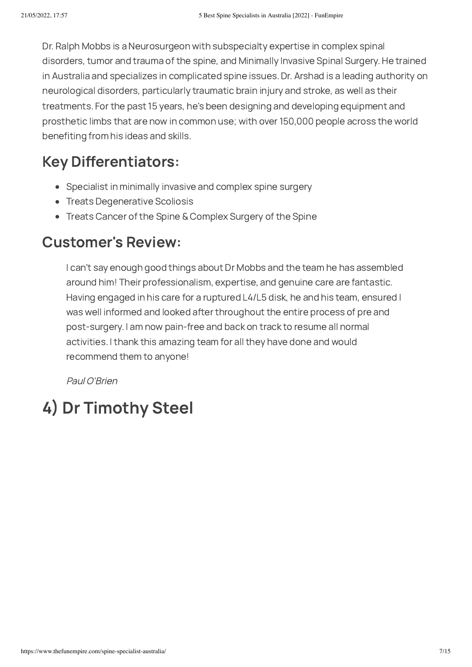Dr. Ralph Mobbs is a Neurosurgeon with subspecialty expertise in complex spinal disorders, tumor and trauma of the spine, and Minimally Invasive Spinal Surgery. He trained in Australia and specializes in complicated spine issues. Dr. Arshad is a leading authority on neurological disorders, particularly traumatic brain injury and stroke, as well as their treatments. For the past 15 years, he's been designing and developing equipment and prosthetic limbs that are now in common use; with over 150,000 people across the world benefiting from his ideas and skills.

## Key Differentiators:

- Specialist in minimally invasive and complex spine surgery
- Treats Degenerative Scoliosis
- Treats Cancer of the Spine & Complex Surgery of the Spine

### Customer's Review:

I can't say enough good things about Dr Mobbs and the team he has assembled around him! Their professionalism, expertise, and genuine care are fantastic. Having engaged in his care for a ruptured L4/L5 disk, he and his team, ensured I was well informed and looked after throughout the entire process of pre and post-surgery. I am now pain-free and back on track to resume all normal activities. I thank this amazing team for all they have done and would recommend them to anyone!

Paul O'Brien

## <span id="page-6-0"></span>4) Dr Timothy Steel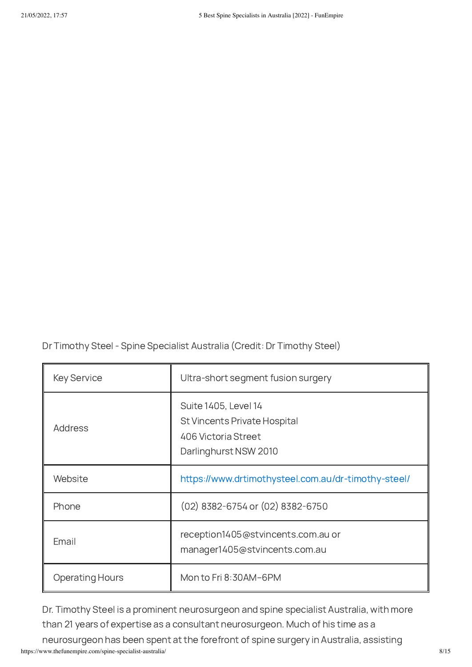Dr Timothy Steel - Spine Specialist Australia (Credit: Dr Timothy Steel)

| <b>Key Service</b>     | Ultra-short segment fusion surgery                                                                          |
|------------------------|-------------------------------------------------------------------------------------------------------------|
| Address                | Suite 1405, Level 14<br><b>St Vincents Private Hospital</b><br>406 Victoria Street<br>Darlinghurst NSW 2010 |
| Website                | https://www.drtimothysteel.com.au/dr-timothy-steel/                                                         |
| Phone                  | (02) 8382-6754 or (02) 8382-6750                                                                            |
| Email                  | reception1405@stvincents.com.au or<br>manager1405@stvincents.com.au                                         |
| <b>Operating Hours</b> | Mon to Fri 8:30AM-6PM                                                                                       |

Dr. Timothy Steel is a prominent neurosurgeon and spine specialist Australia, with more than 21 years of expertise as a consultant neurosurgeon. Much of his time as a

https://www.thefunempire.com/spine-specialist-australia/ 8/15 neurosurgeon has been spent at the forefront of spine surgery in Australia, assisting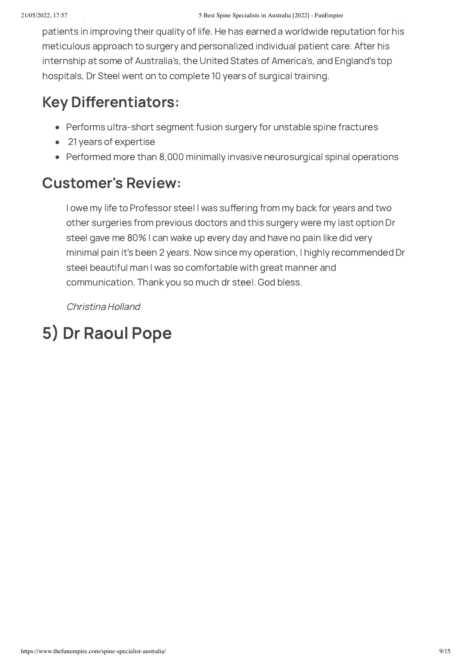patients in improving their quality of life. He has earned a worldwide reputation for his meticulous approach to surgery and personalized individual patient care. After his internship at some of Australia's, the United States of America's, and England's top hospitals, Dr Steel went on to complete 10 years of surgical training.

### Key Differentiators:

- Performs ultra-short segment fusion surgery for unstable spine fractures
- 21 years of expertise  $\bullet$
- Performed more than 8,000 minimally invasive neurosurgical spinal operations

### Customer's Review:

I owe my life to Professor steel I was suffering from my back for years and two other surgeries from previous doctors and this surgery were my last option Dr steel gave me 80% I can wake up every day and have no pain like did very minimal pain it's been 2 years. Now since my operation, I highly recommended Dr steel beautiful man I was so comfortable with great manner and communication. Thank you so much dr steel. God bless.

Christina Holland

## <span id="page-8-0"></span>5) Dr Raoul Pope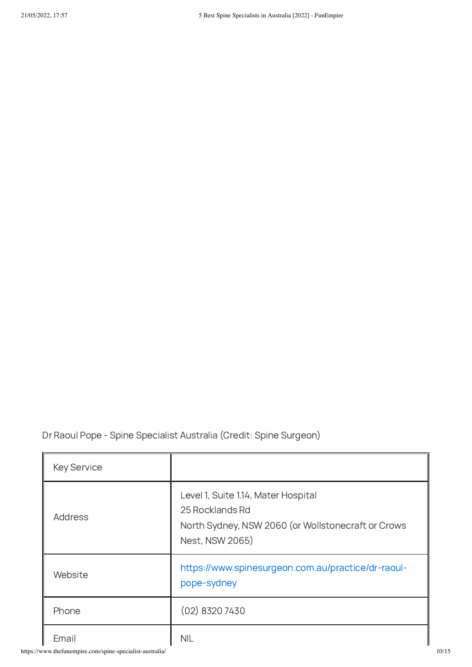Dr Raoul Pope - Spine Specialist Australia (Credit: Spine Surgeon)

| <b>Key Service</b>                                                |                                                                                                                                 |
|-------------------------------------------------------------------|---------------------------------------------------------------------------------------------------------------------------------|
| Address                                                           | Level 1, Suite 1.14, Mater Hospital<br>25 Rocklands Rd<br>North Sydney, NSW 2060 (or Wollstonecraft or Crows<br>Nest, NSW 2065) |
| Website                                                           | https://www.spinesurgeon.com.au/practice/dr-raoul-<br>pope-sydney                                                               |
| Phone                                                             | $(02)$ 8320 7430                                                                                                                |
| Email<br>https://www.thefunempire.com/spine-specialist-australia/ | <b>NIL</b>                                                                                                                      |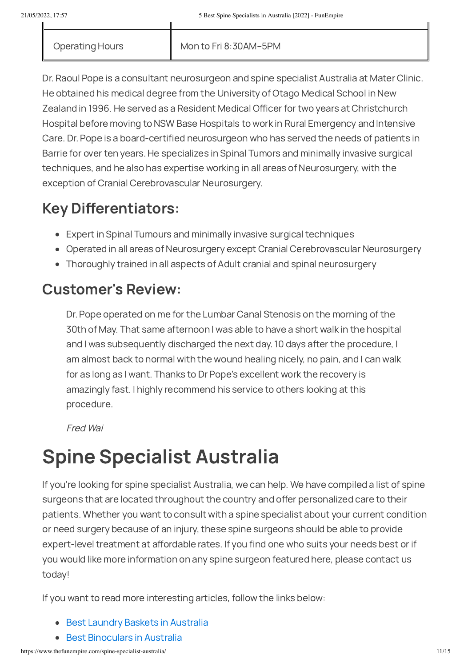Operating Hours Mon to Fri 8:30AM-5PM

Dr. Raoul Pope is a consultant neurosurgeon and spine specialist Australia at Mater Clinic. He obtained his medical degree from the University of Otago Medical School in New Zealand in 1996. He served as a Resident Medical Officer for two years at Christchurch Hospital before moving to NSW Base Hospitals to work in Rural Emergency and Intensive Care. Dr. Pope is a board-certified neurosurgeon who has served the needs of patients in Barrie for over ten years. He specializes in Spinal Tumors and minimally invasive surgical techniques, and he also has expertise working in all areas of Neurosurgery, with the exception of Cranial Cerebrovascular Neurosurgery.

### Key Differentiators:

- Expert in Spinal Tumours and minimally invasive surgical techniques
- Operated in all areas of Neurosurgery except Cranial Cerebrovascular Neurosurgery
- Thoroughly trained in all aspects of Adult cranial and spinal neurosurgery

### Customer's Review:

Dr. Pope operated on me for the Lumbar Canal Stenosis on the morning of the 30th of May. That same afternoon I was able to have a short walk in the hospital and I was subsequently discharged the next day. 10 days after the procedure, I am almost back to normal with the wound healing nicely, no pain, and I can walk for as long as I want. Thanks to Dr Pope's excellent work the recovery is amazingly fast. I highly recommend his service to others looking at this procedure.

Fred Wai

## Spine Specialist Australia

If you're looking for spine specialist Australia, we can help. We have compiled a list of spine surgeons that are located throughout the country and offer personalized care to their patients. Whether you want to consult with a spine specialist about your current condition or need surgery because of an injury, these spine surgeons should be able to provide expert-level treatment at affordable rates. If you find one who suits your needs best or if you would like more information on any spine surgeon featured here, please contact us today!

If you want to read more interesting articles, follow the links below:

- Best Laundry Baskets in [Australia](https://www.thefunempire.com/laundry-basket-australia/)
- Best [Binoculars](https://www.thefunempire.com/binoculars-australia/) in Australia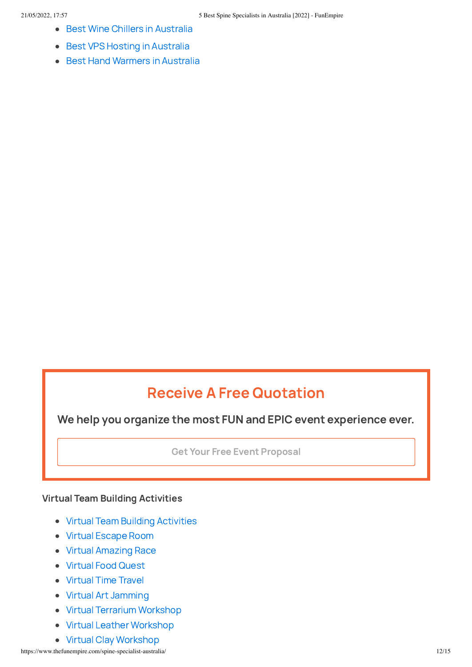- Best Wine Chillers in [Australia](https://www.thefunempire.com/wine-chiller-australia/)
- Best VPS Hosting in [Australia](https://www.thefunempire.com/vps-hosting-australia/)  $\bullet$
- Best Hand [Warmers](https://www.thefunempire.com/hand-warmer-australia/) in Australia  $\bullet$

### Receive A Free Quotation

We help you organize the most FUN and EPIC event experience ever.

Get Your Free Event [Proposal](https://www.thefunempire.com/contact/)

#### Virtual Team Building Activities

- Virtual Team Building [Activities](https://www.thefunempire.com/virtual-team-building/)
- Virtual [Escape](https://www.thefunempire.com/virtual-escape-room/) Room
- Virtual [Amazing](https://www.thefunempire.com/virtual-amazing-race/) Race
- [Virtual](https://www.thefunempire.com/virtual-food-quest/) Food Quest
- [Virtual](https://www.thefunempire.com/virtual-time-travel/) Time Travel
- Virtual Art [Jamming](https://www.thefunempire.com/virtual-art-jamming/)
- Virtual Terrarium [Workshop](https://www.thefunempire.com/virtual-terrarium/)
- Virtual Leather [Workshop](https://www.thefunempire.com/virtual-leather-workshop/)
- Virtual Clay [Workshop](https://www.thefunempire.com/virtual-clay-workshop/)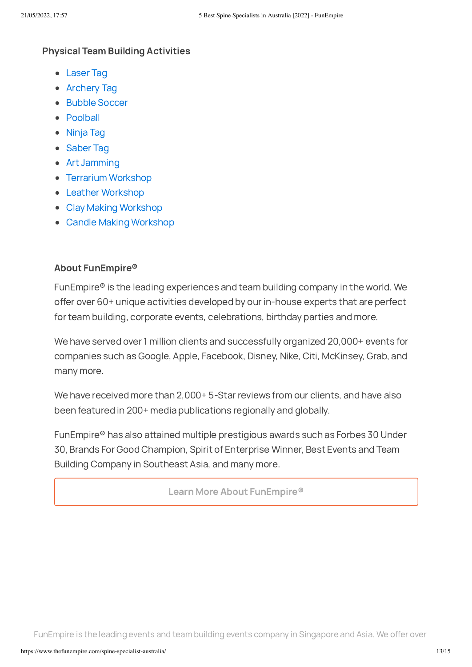#### Physical Team Building Activities

- [Laser](https://www.thefunempire.com/laser-tag/) Tag
- [Archery](https://www.thefunempire.com/combat-archery-tag/) Tag
- Bubble [Soccer](https://www.thefunempire.com/bubble-soccer/)
- [Poolball](https://www.thefunempire.com/poolball/)
- [Ninja](https://www.thefunempire.com/ninja-tag/) Tag
- [Saber](https://www.thefunempire.com/saber-tag/) Tag
- Art [Jamming](https://www.thefunempire.com/art-jamming/)
- Terrarium [Workshop](https://www.thefunempire.com/terrarium/)
- Leather [Workshop](https://www.thefunempire.com/leather-workshop/)
- Clay Making [Workshop](https://www.thefunempire.com/clay-making-workshop/)
- Candle Making [Workshop](https://www.thefunempire.com/candle-making-workshop/)

#### About FunEmpire®

FunEmpire® is the leading experiences and team building company in the world. We offer over 60+ unique activities developed by our in-house experts that are perfect for team building, corporate events, celebrations, birthday parties and more.

We have served over 1 million clients and successfully organized 20,000+ events for companies such as Google, Apple, Facebook, Disney, Nike, Citi, McKinsey, Grab, and many more.

We have received more than 2,000+ 5-Star reviews from our clients, and have also been featured in 200+ media publications regionally and globally.

FunEmpire® has also attained multiple prestigious awards such as Forbes 30 Under 30, Brands For Good Champion, Spirit of Enterprise Winner, Best Events and Team Building Company in Southeast Asia, and many more.

Learn More About [FunEmpire®](https://www.thefunempire.com/about-us/)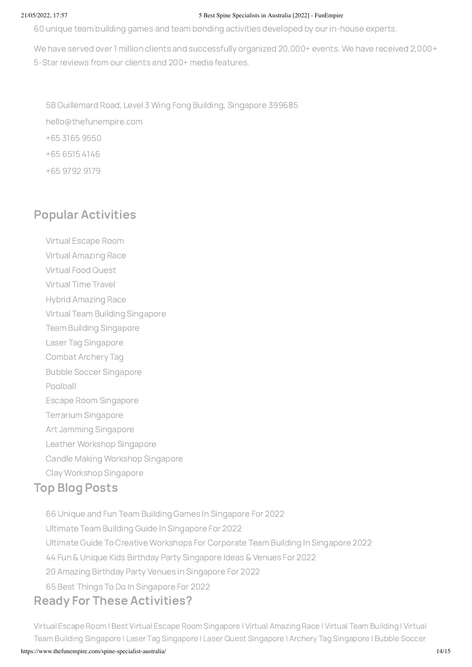#### 21/05/2022, 17:57 5 Best Spine Specialists in Australia [2022] - FunEmpire

60 unique team building games and team bonding activities developed by our in-house experts.

We have served over 1 million clients and successfully organized 20,000+ events. We have received 2,000+ 5-Star reviews from our clients and 200+ media features.

5B [Guillemard](https://g.page/thefunempire?we) Road, Level 3 Wing Fong Building, Singapore 399685 [hello@thefunempire.com](mailto:hello@thefunempire.com) +65 3165 [9550](tel:+6531659550) +65 [6515](tel:+6565154146) 4146 +65 [9792](tel:+6597929179) 9179

### [Pop](https://www.facebook.com/thefunempire/)[ular](https://www.instagram.com/thefunempire) [Act](https://g.page/thefunempire)i[vitie](https://sg.linkedin.com/company/thefunempire)[s](https://www.youtube.com/thefunempire)

Virtual [Escape](https://www.thefunempire.com/virtual-escape-room/) Room

Virtual [Amazing](https://www.thefunempire.com/virtual-amazing-race/) Race

- [Virtual](https://www.thefunempire.com/virtual-food-quest/) Food Quest
- [Virtual](https://www.thefunempire.com/virtual-time-travel/) Time Travel
- Hybrid [Amazing](https://www.thefunempire.com/hybrid-amazing-race/) Race
- Virtual Team Building [Singapore](https://www.thefunempire.com/virtual-team-building/)
- Team Building [Singapore](https://www.thefunempire.com/team-building/)
- Laser Tag [Singapore](https://www.thefunempire.com/laser-tag/)
- [Combat](https://www.thefunempire.com/combat-archery-tag/) Archery Tag
- Bubble Soccer [Singapore](https://www.thefunempire.com/bubble-soccer/)

[Poolball](https://www.thefunempire.com/poolball/)

- Escape Room [Singapore](https://www.thefunempire.com/escape-room/)
- Terrarium [Singapore](https://www.thefunempire.com/terrarium/)
- Art Jamming [Singapore](https://www.thefunempire.com/art-jamming/)
- Leather Workshop [Singapore](https://www.thefunempire.com/leather-workshop/)
- Candle Making Workshop [Singapore](https://www.thefunempire.com/candle-making-workshop/)
- Clay Workshop [Singapore](https://www.thefunempire.com/clay-workshop/)

### Top Blog Posts

 Unique and Fun Team Building Games In [Singapore](https://www.thefunempire.com/team-building-games-singapore/) For 2022 Ultimate Team Building Guide In [Singapore](https://www.thefunempire.com/team-building-singapore-guide/) For 2022 Ultimate Guide To Creative [Workshops](https://www.thefunempire.com/creative-workshops-for-corporate-team-building-singapore/) For Corporate Team Building In Singapore 2022 Fun & Unique Kids Birthday Party [Singapore](https://www.thefunempire.com/birthday-party-singapore/) Ideas & Venues For 2022 Amazing Birthday Party Venues in [Singapore](https://www.thefunempire.com/birthday-party-venues-singapore/) For 2022 Best Things To Do In [Singapore](https://www.thefunempire.com/things-to-do-in-singapore/) For 2022

### Ready For These Activities?

Virtual [Escape](https://www.escaperoom.sg/) Room | Best Virtual Escape Room [Singapor](https://thefunsocial.com/virtual-escape-room-singapore/)[e](https://thefunsocial.com/virtual-team-building-singapore/) | Virtual [Amazing](https://www.virtualamazingrace.com/) Race | Virtual Team [Building](https://www.virtualteambuilding.sg/) | Virtual Team Building Singapore | Laser Tag [Singapor](https://www.lasertagsingapore.sg/)[e](https://www.bubblebump.sg/) | Laser Quest [Singapore](https://www.laserquest.sg/) | Archery Tag [Singapore](https://www.combatarchery.sg/) | Bubble Soccer